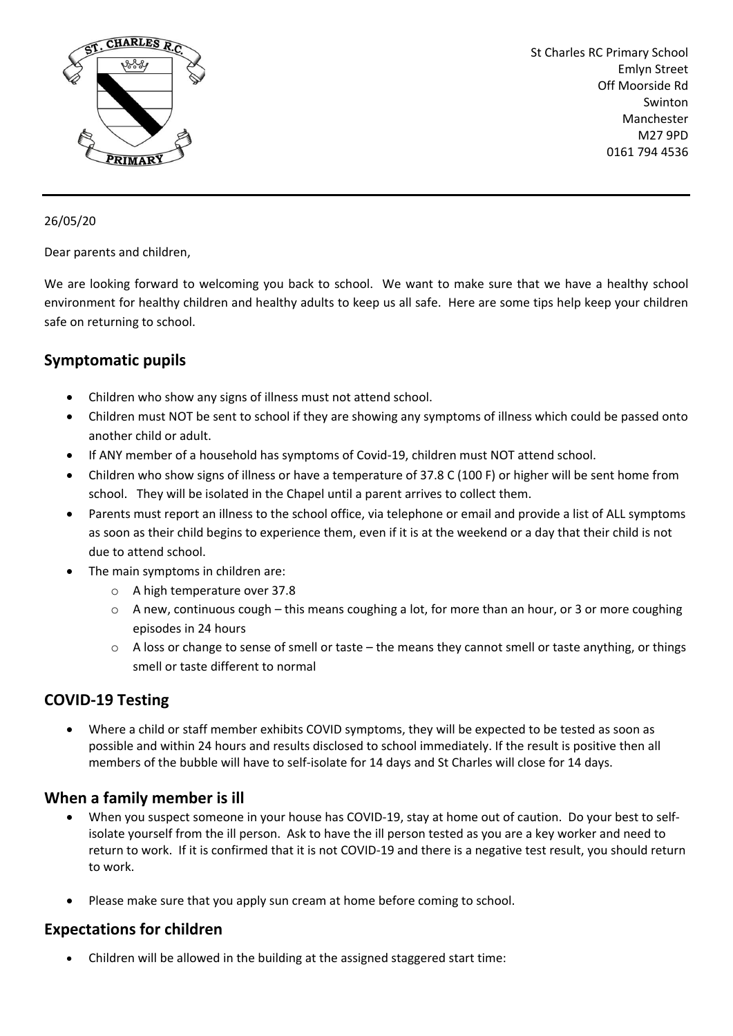

St Charles RC Primary School Emlyn Street Off Moorside Rd Swinton Manchester M27 9PD 0161 794 4536

#### 26/05/20

Dear parents and children,

We are looking forward to welcoming you back to school. We want to make sure that we have a healthy school environment for healthy children and healthy adults to keep us all safe. Here are some tips help keep your children safe on returning to school.

# **Symptomatic pupils**

- Children who show any signs of illness must not attend school.
- Children must NOT be sent to school if they are showing any symptoms of illness which could be passed onto another child or adult.
- If ANY member of a household has symptoms of Covid-19, children must NOT attend school.
- Children who show signs of illness or have a temperature of 37.8 C (100 F) or higher will be sent home from school. They will be isolated in the Chapel until a parent arrives to collect them.
- Parents must report an illness to the school office, via telephone or email and provide a list of ALL symptoms as soon as their child begins to experience them, even if it is at the weekend or a day that their child is not due to attend school.
- The main symptoms in children are:
	- o A high temperature over 37.8
	- $\circ$  A new, continuous cough this means coughing a lot, for more than an hour, or 3 or more coughing episodes in 24 hours
	- $\circ$  A loss or change to sense of smell or taste the means they cannot smell or taste anything, or things smell or taste different to normal

## **COVID-19 Testing**

• Where a child or staff member exhibits COVID symptoms, they will be expected to be tested as soon as possible and within 24 hours and results disclosed to school immediately. If the result is positive then all members of the bubble will have to self-isolate for 14 days and St Charles will close for 14 days.

## **When a family member is ill**

- When you suspect someone in your house has COVID-19, stay at home out of caution. Do your best to selfisolate yourself from the ill person. Ask to have the ill person tested as you are a key worker and need to return to work. If it is confirmed that it is not COVID-19 and there is a negative test result, you should return to work.
- Please make sure that you apply sun cream at home before coming to school.

## **Expectations for children**

• Children will be allowed in the building at the assigned staggered start time: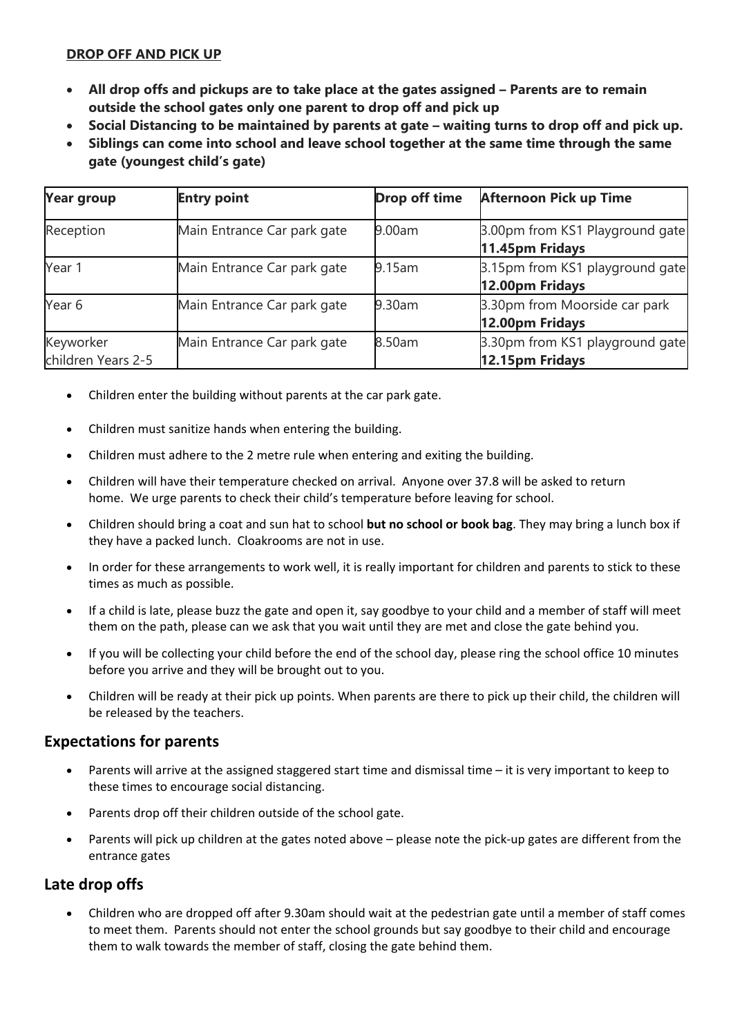#### **DROP OFF AND PICK UP**

- **All drop offs and pickups are to take place at the gates assigned – Parents are to remain outside the school gates only one parent to drop off and pick up**
- **Social Distancing to be maintained by parents at gate – waiting turns to drop off and pick up.**
- **Siblings can come into school and leave school together at the same time through the same gate (youngest child's gate)**

| <b>Year group</b>               | <b>Entry point</b>          | <b>Drop off time</b> | <b>Afternoon Pick up Time</b>                      |
|---------------------------------|-----------------------------|----------------------|----------------------------------------------------|
| Reception                       | Main Entrance Car park gate | 9.00am               | 3.00pm from KS1 Playground gate<br>11.45pm Fridays |
| Year 1                          | Main Entrance Car park gate | 9.15am               | 3.15pm from KS1 playground gate<br>12.00pm Fridays |
| Year 6                          | Main Entrance Car park gate | 9.30am               | 3.30pm from Moorside car park<br>12.00pm Fridays   |
| Keyworker<br>children Years 2-5 | Main Entrance Car park gate | 8.50am               | 3.30pm from KS1 playground gate<br>12.15pm Fridays |

- Children enter the building without parents at the car park gate.
- Children must sanitize hands when entering the building.
- Children must adhere to the 2 metre rule when entering and exiting the building.
- Children will have their temperature checked on arrival. Anyone over 37.8 will be asked to return home. We urge parents to check their child's temperature before leaving for school.
- Children should bring a coat and sun hat to school **but no school or book bag**. They may bring a lunch box if they have a packed lunch. Cloakrooms are not in use.
- In order for these arrangements to work well, it is really important for children and parents to stick to these times as much as possible.
- If a child is late, please buzz the gate and open it, say goodbye to your child and a member of staff will meet them on the path, please can we ask that you wait until they are met and close the gate behind you.
- If you will be collecting your child before the end of the school day, please ring the school office 10 minutes before you arrive and they will be brought out to you.
- Children will be ready at their pick up points. When parents are there to pick up their child, the children will be released by the teachers.

## **Expectations for parents**

- Parents will arrive at the assigned staggered start time and dismissal time it is very important to keep to these times to encourage social distancing.
- Parents drop off their children outside of the school gate.
- Parents will pick up children at the gates noted above please note the pick-up gates are different from the entrance gates

## **Late drop offs**

• Children who are dropped off after 9.30am should wait at the pedestrian gate until a member of staff comes to meet them. Parents should not enter the school grounds but say goodbye to their child and encourage them to walk towards the member of staff, closing the gate behind them.